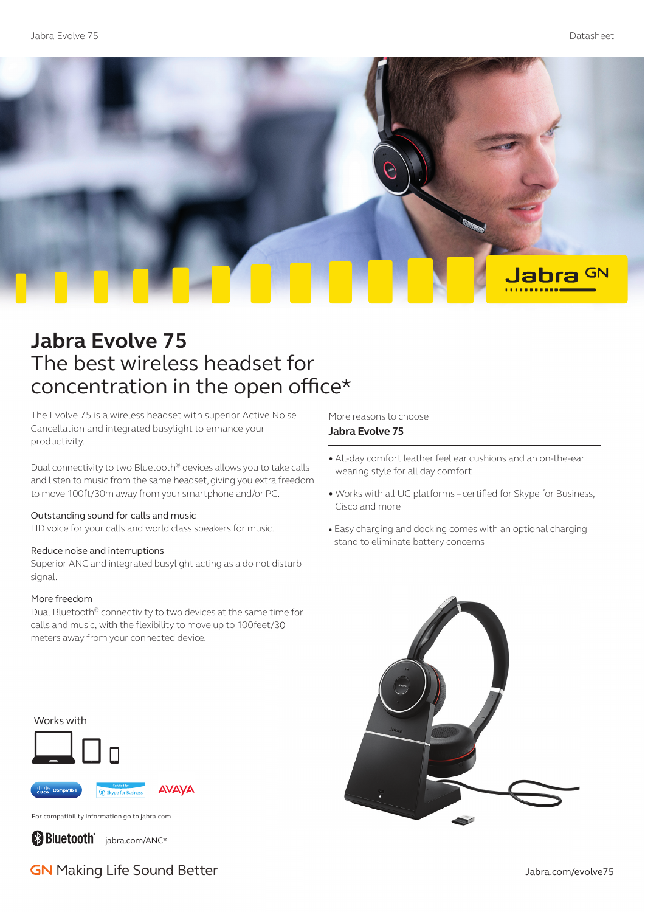

# **Jabra Evolve 75** The best wireless headset for concentration in the open office\*

The Evolve 75 is a wireless headset with superior Active Noise Cancellation and integrated busylight to enhance your productivity.

Dual connectivity to two Bluetooth® devices allows you to take calls and listen to music from the same headset, giving you extra freedom to move 100ft/30m away from your smartphone and/or PC.

### Outstanding sound for calls and music

HD voice for your calls and world class speakers for music.

### Reduce noise and interruptions

Superior ANC and integrated busylight acting as a do not disturb signal.

### More freedom

Dual Bluetooth® connectivity to two devices at the same time for calls and music, with the flexibility to move up to 100feet/30 meters away from your connected device.

#### Works with



For compatibility information go to jabra.com

**Bluetooth** jabra.com/ANC\*

**GN** Making Life Sound Better

More reasons to choose **Jabra Evolve 75**

- All-day comfort leather feel ear cushions and an on-the-ear wearing style for all day comfort
- Works with all UC platforms certified for Skype for Business, Cisco and more
- Easy charging and docking comes with an optional charging stand to eliminate battery concerns